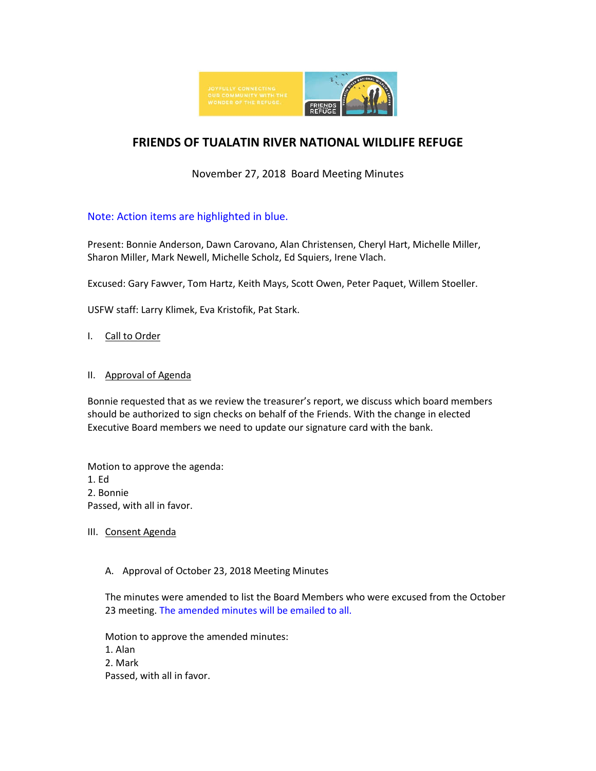

# **FRIENDS OF TUALATIN RIVER NATIONAL WILDLIFE REFUGE**

# November 27, 2018 Board Meeting Minutes

# Note: Action items are highlighted in blue.

Present: Bonnie Anderson, Dawn Carovano, Alan Christensen, Cheryl Hart, Michelle Miller, Sharon Miller, Mark Newell, Michelle Scholz, Ed Squiers, Irene Vlach.

Excused: Gary Fawver, Tom Hartz, Keith Mays, Scott Owen, Peter Paquet, Willem Stoeller.

USFW staff: Larry Klimek, Eva Kristofik, Pat Stark.

# I. Call to Order

#### II. Approval of Agenda

Bonnie requested that as we review the treasurer's report, we discuss which board members should be authorized to sign checks on behalf of the Friends. With the change in elected Executive Board members we need to update our signature card with the bank.

Motion to approve the agenda: 1. Ed 2. Bonnie Passed, with all in favor.

# III. Consent Agenda

# A. Approval of October 23, 2018 Meeting Minutes

The minutes were amended to list the Board Members who were excused from the October 23 meeting. The amended minutes will be emailed to all.

Motion to approve the amended minutes: 1. Alan 2. Mark Passed, with all in favor.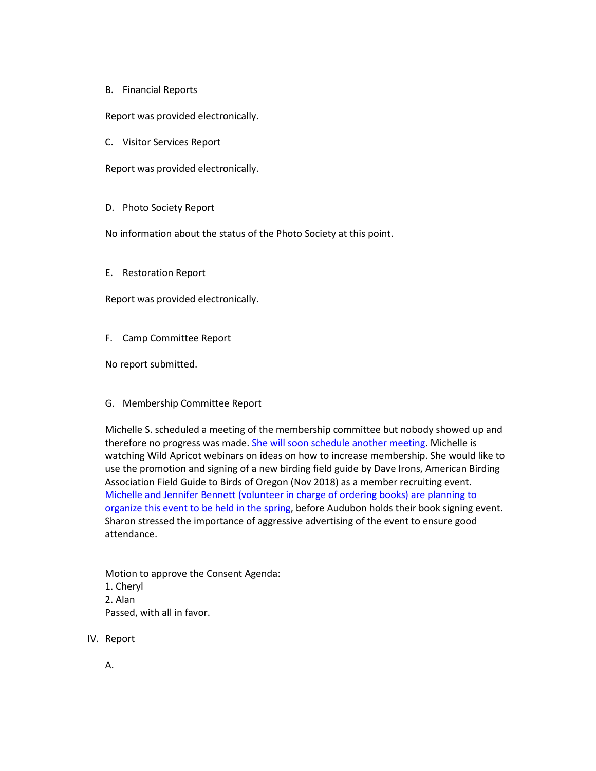B. Financial Reports

Report was provided electronically.

C. Visitor Services Report

Report was provided electronically.

D. Photo Society Report

No information about the status of the Photo Society at this point.

E. Restoration Report

Report was provided electronically.

F. Camp Committee Report

No report submitted.

G. Membership Committee Report

Michelle S. scheduled a meeting of the membership committee but nobody showed up and therefore no progress was made. She will soon schedule another meeting. Michelle is watching Wild Apricot webinars on ideas on how to increase membership. She would like to use the promotion and signing of a new birding field guide by Dave Irons, American Birding Association Field Guide to Birds of Oregon (Nov 2018) as a member recruiting event. Michelle and Jennifer Bennett (volunteer in charge of ordering books) are planning to organize this event to be held in the spring, before Audubon holds their book signing event. Sharon stressed the importance of aggressive advertising of the event to ensure good attendance.

Motion to approve the Consent Agenda: 1. Cheryl 2. Alan Passed, with all in favor.

- IV. Report
	- A.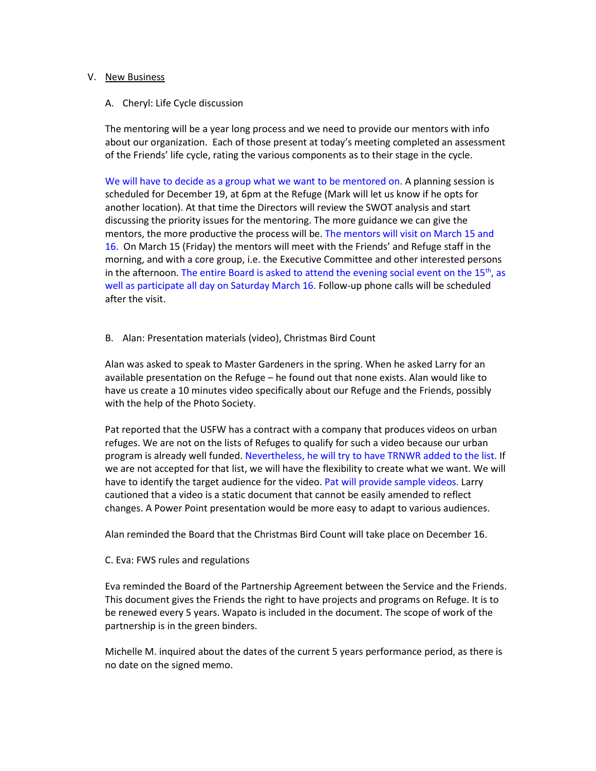#### V. New Business

A. Cheryl: Life Cycle discussion

The mentoring will be a year long process and we need to provide our mentors with info about our organization. Each of those present at today's meeting completed an assessment of the Friends' life cycle, rating the various components as to their stage in the cycle.

We will have to decide as a group what we want to be mentored on. A planning session is scheduled for December 19, at 6pm at the Refuge (Mark will let us know if he opts for another location). At that time the Directors will review the SWOT analysis and start discussing the priority issues for the mentoring. The more guidance we can give the mentors, the more productive the process will be. The mentors will visit on March 15 and 16. On March 15 (Friday) the mentors will meet with the Friends' and Refuge staff in the morning, and with a core group, i.e. the Executive Committee and other interested persons in the afternoon. The entire Board is asked to attend the evening social event on the  $15<sup>th</sup>$ , as well as participate all day on Saturday March 16. Follow-up phone calls will be scheduled after the visit.

# B. Alan: Presentation materials (video), Christmas Bird Count

Alan was asked to speak to Master Gardeners in the spring. When he asked Larry for an available presentation on the Refuge – he found out that none exists. Alan would like to have us create a 10 minutes video specifically about our Refuge and the Friends, possibly with the help of the Photo Society.

Pat reported that the USFW has a contract with a company that produces videos on urban refuges. We are not on the lists of Refuges to qualify for such a video because our urban program is already well funded. Nevertheless, he will try to have TRNWR added to the list. If we are not accepted for that list, we will have the flexibility to create what we want. We will have to identify the target audience for the video. Pat will provide sample videos. Larry cautioned that a video is a static document that cannot be easily amended to reflect changes. A Power Point presentation would be more easy to adapt to various audiences.

Alan reminded the Board that the Christmas Bird Count will take place on December 16.

C. Eva: FWS rules and regulations

Eva reminded the Board of the Partnership Agreement between the Service and the Friends. This document gives the Friends the right to have projects and programs on Refuge. It is to be renewed every 5 years. Wapato is included in the document. The scope of work of the partnership is in the green binders.

Michelle M. inquired about the dates of the current 5 years performance period, as there is no date on the signed memo.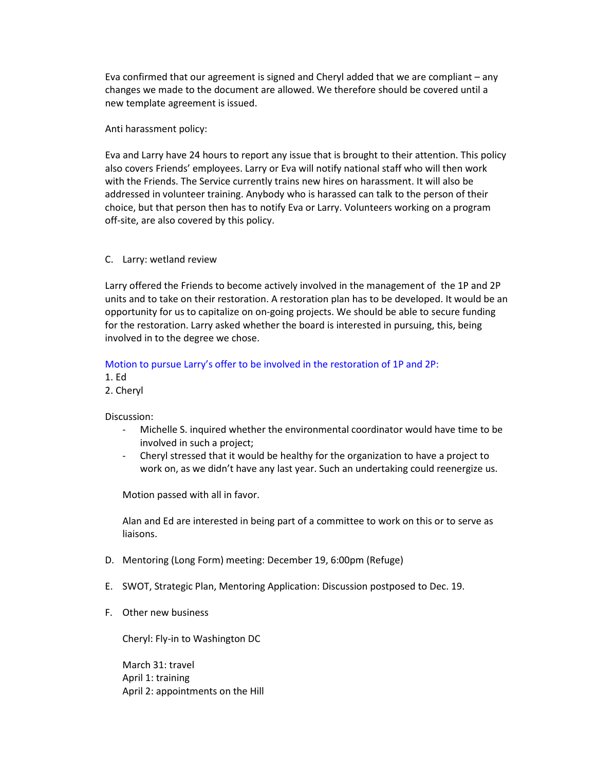Eva confirmed that our agreement is signed and Cheryl added that we are compliant – any changes we made to the document are allowed. We therefore should be covered until a new template agreement is issued.

Anti harassment policy:

Eva and Larry have 24 hours to report any issue that is brought to their attention. This policy also covers Friends' employees. Larry or Eva will notify national staff who will then work with the Friends. The Service currently trains new hires on harassment. It will also be addressed in volunteer training. Anybody who is harassed can talk to the person of their choice, but that person then has to notify Eva or Larry. Volunteers working on a program off-site, are also covered by this policy.

#### C. Larry: wetland review

Larry offered the Friends to become actively involved in the management of the 1P and 2P units and to take on their restoration. A restoration plan has to be developed. It would be an opportunity for us to capitalize on on-going projects. We should be able to secure funding for the restoration. Larry asked whether the board is interested in pursuing, this, being involved in to the degree we chose.

# Motion to pursue Larry's offer to be involved in the restoration of 1P and 2P:

1. Ed

2. Cheryl

Discussion:

- Michelle S. inquired whether the environmental coordinator would have time to be involved in such a project;
- Cheryl stressed that it would be healthy for the organization to have a project to work on, as we didn't have any last year. Such an undertaking could reenergize us.

Motion passed with all in favor.

Alan and Ed are interested in being part of a committee to work on this or to serve as liaisons.

- D. Mentoring (Long Form) meeting: December 19, 6:00pm (Refuge)
- E. SWOT, Strategic Plan, Mentoring Application: Discussion postposed to Dec. 19.
- F. Other new business

Cheryl: Fly-in to Washington DC

March 31: travel April 1: training April 2: appointments on the Hill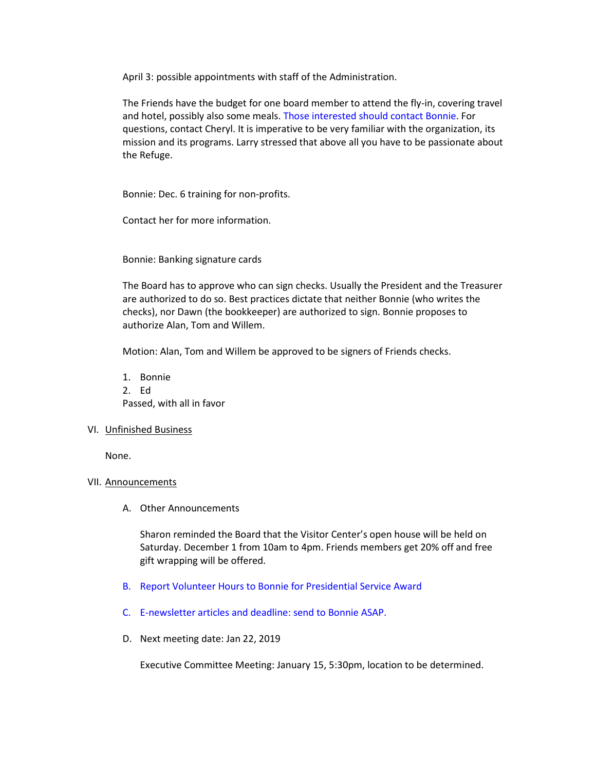April 3: possible appointments with staff of the Administration.

The Friends have the budget for one board member to attend the fly-in, covering travel and hotel, possibly also some meals. Those interested should contact Bonnie. For questions, contact Cheryl. It is imperative to be very familiar with the organization, its mission and its programs. Larry stressed that above all you have to be passionate about the Refuge.

Bonnie: Dec. 6 training for non-profits.

Contact her for more information.

Bonnie: Banking signature cards

The Board has to approve who can sign checks. Usually the President and the Treasurer are authorized to do so. Best practices dictate that neither Bonnie (who writes the checks), nor Dawn (the bookkeeper) are authorized to sign. Bonnie proposes to authorize Alan, Tom and Willem.

Motion: Alan, Tom and Willem be approved to be signers of Friends checks.

1. Bonnie 2. Ed Passed, with all in favor

#### VI. Unfinished Business

None.

#### VII. Announcements

A. Other Announcements

Sharon reminded the Board that the Visitor Center's open house will be held on Saturday. December 1 from 10am to 4pm. Friends members get 20% off and free gift wrapping will be offered.

- B. Report Volunteer Hours to Bonnie for Presidential Service Award
- C. E-newsletter articles and deadline: send to Bonnie ASAP.
- D. Next meeting date: Jan 22, 2019

Executive Committee Meeting: January 15, 5:30pm, location to be determined.